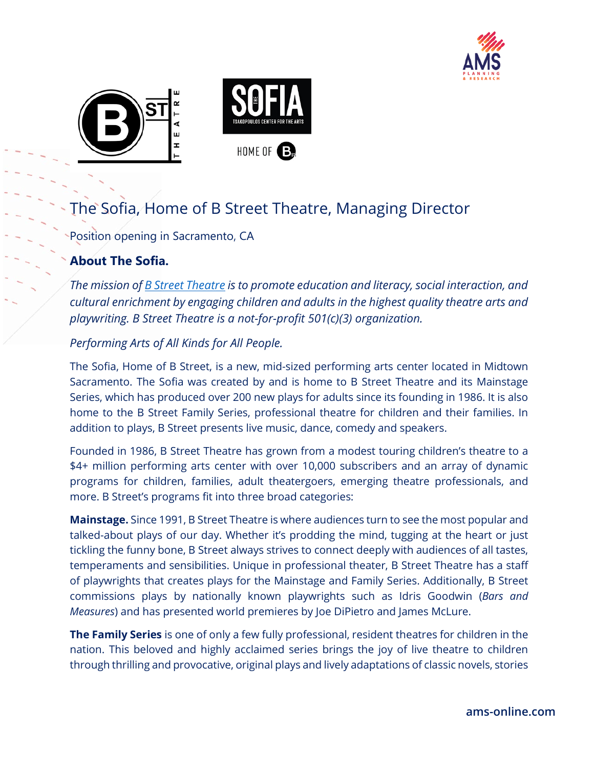





# The Sofia, Home of B Street Theatre, Managing Director

Position opening in Sacramento, CA

# **About The Sofia.**

*The mission of [B Street Theatre](https://bstreettheatre.org/) is to promote education and literacy, social interaction, and cultural enrichment by engaging children and adults in the highest quality theatre arts and playwriting. B Street Theatre is a not-for-profit 501(c)(3) organization.*

## *Performing Arts of All Kinds for All People.*

The Sofia, Home of B Street, is a new, mid-sized performing arts center located in Midtown Sacramento. The Sofia was created by and is home to B Street Theatre and its Mainstage Series, which has produced over 200 new plays for adults since its founding in 1986. It is also home to the B Street Family Series, professional theatre for children and their families. In addition to plays, B Street presents live music, dance, comedy and speakers.

Founded in 1986, B Street Theatre has grown from a modest touring children's theatre to a \$4+ million performing arts center with over 10,000 subscribers and an array of dynamic programs for children, families, adult theatergoers, emerging theatre professionals, and more. B Street's programs fit into three broad categories:

**Mainstage.** Since 1991, B Street Theatre is where audiences turn to see the most popular and talked-about plays of our day. Whether it's prodding the mind, tugging at the heart or just tickling the funny bone, B Street always strives to connect deeply with audiences of all tastes, temperaments and sensibilities. Unique in professional theater, B Street Theatre has a staff of playwrights that creates plays for the Mainstage and Family Series. Additionally, B Street commissions plays by nationally known playwrights such as Idris Goodwin (*Bars and Measures*) and has presented world premieres by Joe DiPietro and James McLure.

**The Family Series** is one of only a few fully professional, resident theatres for children in the nation. This beloved and highly acclaimed series brings the joy of live theatre to children through thrilling and provocative, original plays and lively adaptations of classic novels, stories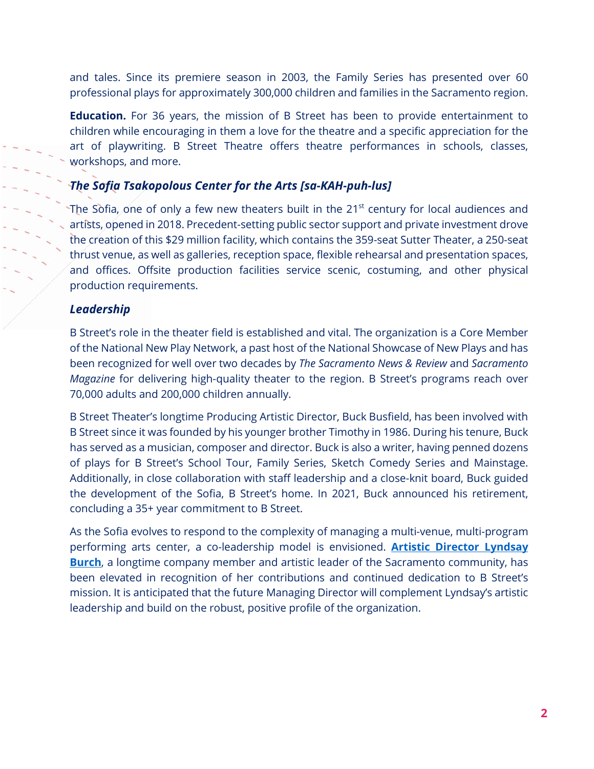and tales. Since its premiere season in 2003, the Family Series has presented over 60 professional plays for approximately 300,000 children and families in the Sacramento region.

**Education.** For 36 years, the mission of B Street has been to provide entertainment to children while encouraging in them a love for the theatre and a specific appreciation for the art of playwriting. B Street Theatre offers theatre performances in schools, classes, workshops, and more.

#### *The Sofia Tsakopolous Center for the Arts [sa-KAH-puh-lus]*

The Sofia, one of only a few new theaters built in the 21<sup>st</sup> century for local audiences and artists, opened in 2018. Precedent-setting public sector support and private investment drove the creation of this \$29 million facility, which contains the 359-seat Sutter Theater, a 250-seat thrust venue, as well as galleries, reception space, flexible rehearsal and presentation spaces, and offices. Offsite production facilities service scenic, costuming, and other physical production requirements.

#### *Leadership*

B Street's role in the theater field is established and vital. The organization is a Core Member of the National New Play Network, a past host of the National Showcase of New Plays and has been recognized for well over two decades by *The Sacramento News & Review* and *Sacramento Magazine* for delivering high-quality theater to the region. B Street's programs reach over 70,000 adults and 200,000 children annually.

B Street Theater's longtime Producing Artistic Director, Buck Busfield, has been involved with B Street since it was founded by his younger brother Timothy in 1986. During his tenure, Buck has served as a musician, composer and director. Buck is also a writer, having penned dozens of plays for B Street's School Tour, Family Series, Sketch Comedy Series and Mainstage. Additionally, in close collaboration with staff leadership and a close-knit board, Buck guided the development of the Sofia, B Street's home. In 2021, Buck announced his retirement, concluding a 35+ year commitment to B Street.

As the Sofia evolves to respond to the complexity of managing a multi-venue, multi-program performing arts center, a co-leadership model is envisioned. **[Artistic Director Lyndsay](http://www.lyndsayburch.com/aboutlyndsay)  [Burch](http://www.lyndsayburch.com/aboutlyndsay)**, a longtime company member and artistic leader of the Sacramento community, has been elevated in recognition of her contributions and continued dedication to B Street's mission. It is anticipated that the future Managing Director will complement Lyndsay's artistic leadership and build on the robust, positive profile of the organization.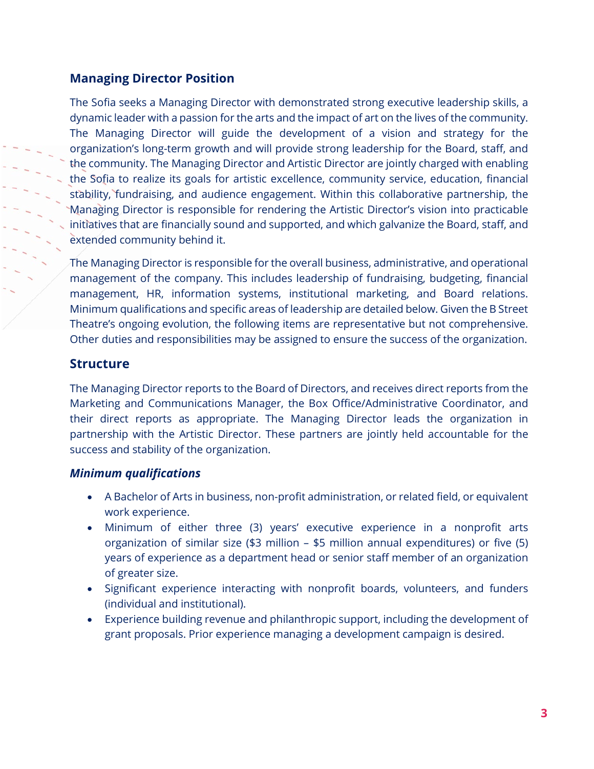#### **Managing Director Position**

The Sofia seeks a Managing Director with demonstrated strong executive leadership skills, a dynamic leader with a passion for the arts and the impact of art on the lives of the community. The Managing Director will guide the development of a vision and strategy for the organization's long-term growth and will provide strong leadership for the Board, staff, and the community. The Managing Director and Artistic Director are jointly charged with enabling the Sofia to realize its goals for artistic excellence, community service, education, financial stability, fundraising, and audience engagement. Within this collaborative partnership, the Managing Director is responsible for rendering the Artistic Director's vision into practicable initiatives that are financially sound and supported, and which galvanize the Board, staff, and extended community behind it.

The Managing Director is responsible for the overall business, administrative, and operational management of the company. This includes leadership of fundraising, budgeting, financial management, HR, information systems, institutional marketing, and Board relations. Minimum qualifications and specific areas of leadership are detailed below. Given the B Street Theatre's ongoing evolution, the following items are representative but not comprehensive. Other duties and responsibilities may be assigned to ensure the success of the organization.

#### **Structure**

The Managing Director reports to the Board of Directors, and receives direct reports from the Marketing and Communications Manager, the Box Office/Administrative Coordinator, and their direct reports as appropriate. The Managing Director leads the organization in partnership with the Artistic Director. These partners are jointly held accountable for the success and stability of the organization.

#### *Minimum qualifications*

- A Bachelor of Arts in business, non-profit administration, or related field, or equivalent work experience.
- Minimum of either three (3) years' executive experience in a nonprofit arts organization of similar size (\$3 million – \$5 million annual expenditures) or five (5) years of experience as a department head or senior staff member of an organization of greater size.
- Significant experience interacting with nonprofit boards, volunteers, and funders (individual and institutional).
- Experience building revenue and philanthropic support, including the development of grant proposals. Prior experience managing a development campaign is desired.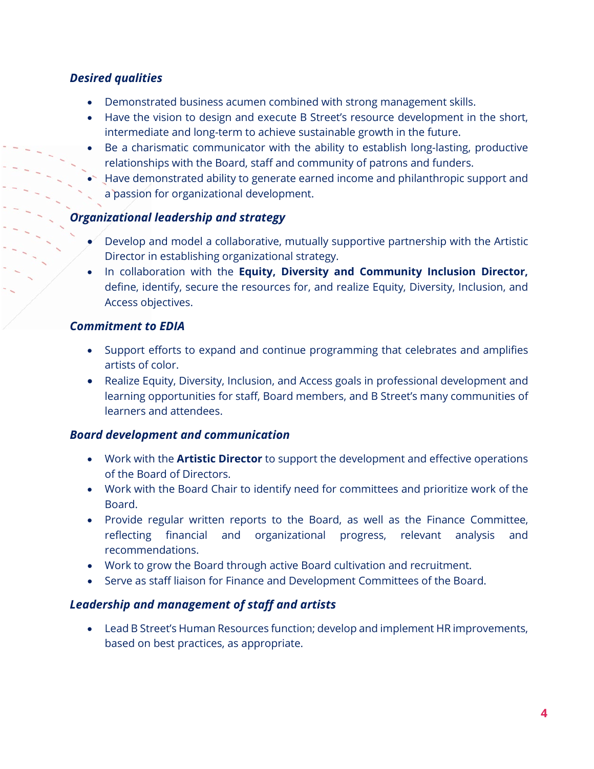## *Desired qualities*

- Demonstrated business acumen combined with strong management skills.
- Have the vision to design and execute B Street's resource development in the short, intermediate and long-term to achieve sustainable growth in the future.
- Be a charismatic communicator with the ability to establish long-lasting, productive relationships with the Board, staff and community of patrons and funders.
- $\bullet$  Have demonstrated ability to generate earned income and philanthropic support and a passion for organizational development.

## *Organizational leadership and strategy*

- Develop and model a collaborative, mutually supportive partnership with the Artistic Director in establishing organizational strategy.
- In collaboration with the **Equity, Diversity and Community Inclusion Director,**  define, identify, secure the resources for, and realize Equity, Diversity, Inclusion, and Access objectives.

## *Commitment to EDIA*

- Support efforts to expand and continue programming that celebrates and amplifies artists of color.
- Realize Equity, Diversity, Inclusion, and Access goals in professional development and learning opportunities for staff, Board members, and B Street's many communities of learners and attendees.

## *Board development and communication*

- Work with the **Artistic Director** to support the development and effective operations of the Board of Directors.
- Work with the Board Chair to identify need for committees and prioritize work of the Board.
- Provide regular written reports to the Board, as well as the Finance Committee, reflecting financial and organizational progress, relevant analysis and recommendations.
- Work to grow the Board through active Board cultivation and recruitment.
- Serve as staff liaison for Finance and Development Committees of the Board.

# *Leadership and management of staff and artists*

• Lead B Street's Human Resources function; develop and implement HR improvements, based on best practices, as appropriate.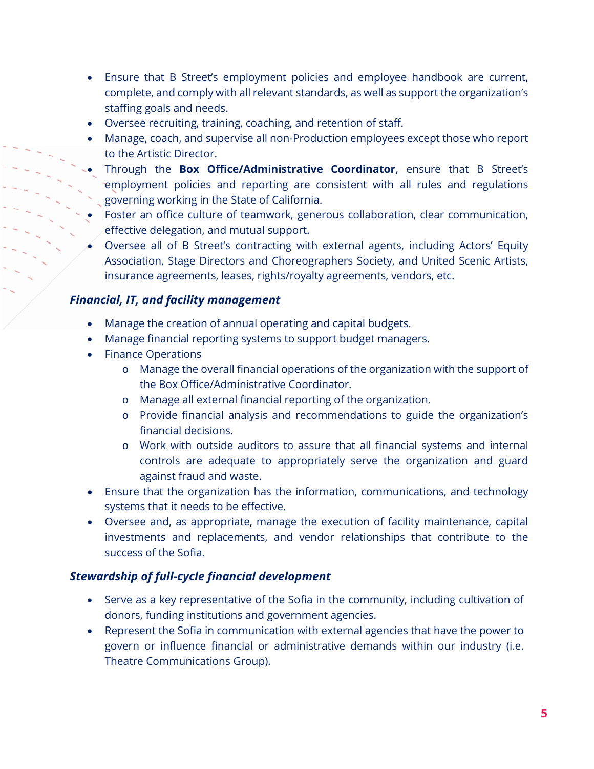- Ensure that B Street's employment policies and employee handbook are current, complete, and comply with all relevant standards, as well as support the organization's staffing goals and needs.
- Oversee recruiting, training, coaching, and retention of staff.
- Manage, coach, and supervise all non-Production employees except those who report to the Artistic Director.
- Through the **Box Office/Administrative Coordinator,** ensure that B Street's employment policies and reporting are consistent with all rules and regulations governing working in the State of California.
- Foster an office culture of teamwork, generous collaboration, clear communication, effective delegation, and mutual support.
- Oversee all of B Street's contracting with external agents, including Actors' Equity Association, Stage Directors and Choreographers Society, and United Scenic Artists, insurance agreements, leases, rights/royalty agreements, vendors, etc.

#### *Financial, IT, and facility management*

- Manage the creation of annual operating and capital budgets.
- Manage financial reporting systems to support budget managers.
- Finance Operations
	- o Manage the overall financial operations of the organization with the support of the Box Office/Administrative Coordinator.
	- o Manage all external financial reporting of the organization.
	- o Provide financial analysis and recommendations to guide the organization's financial decisions.
	- o Work with outside auditors to assure that all financial systems and internal controls are adequate to appropriately serve the organization and guard against fraud and waste.
- Ensure that the organization has the information, communications, and technology systems that it needs to be effective.
- Oversee and, as appropriate, manage the execution of facility maintenance, capital investments and replacements, and vendor relationships that contribute to the success of the Sofia.

#### *Stewardship of full-cycle financial development*

- Serve as a key representative of the Sofia in the community, including cultivation of donors, funding institutions and government agencies.
- Represent the Sofia in communication with external agencies that have the power to govern or influence financial or administrative demands within our industry (i.e. Theatre Communications Group).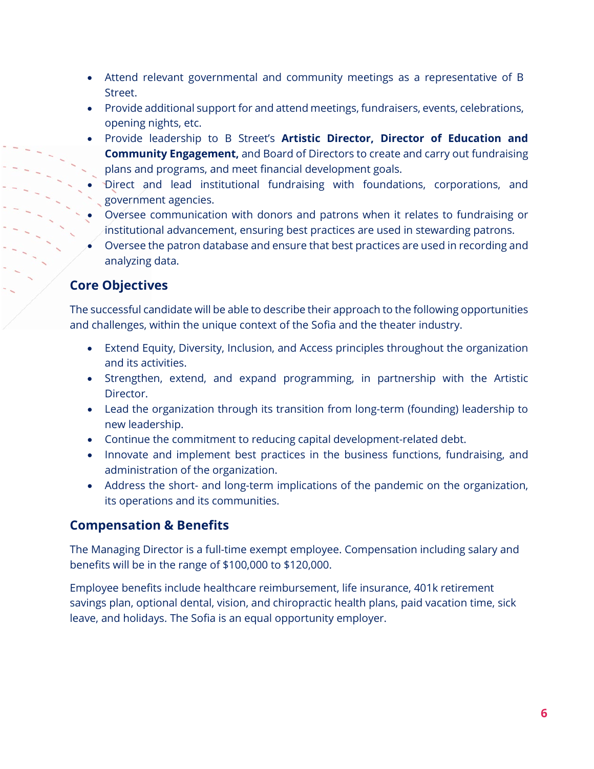- Attend relevant governmental and community meetings as a representative of B Street.
- Provide additional support for and attend meetings, fundraisers, events, celebrations, opening nights, etc.
- Provide leadership to B Street's **Artistic Director, Director of Education and Community Engagement,** and Board of Directors to create and carry out fundraising plans and programs, and meet financial development goals.
- Direct and lead institutional fundraising with foundations, corporations, and government agencies.
- Oversee communication with donors and patrons when it relates to fundraising or institutional advancement, ensuring best practices are used in stewarding patrons.
- Oversee the patron database and ensure that best practices are used in recording and analyzing data.

# **Core Objectives**

The successful candidate will be able to describe their approach to the following opportunities and challenges, within the unique context of the Sofia and the theater industry.

- Extend Equity, Diversity, Inclusion, and Access principles throughout the organization and its activities.
- Strengthen, extend, and expand programming, in partnership with the Artistic Director.
- Lead the organization through its transition from long-term (founding) leadership to new leadership.
- Continue the commitment to reducing capital development-related debt.
- Innovate and implement best practices in the business functions, fundraising, and administration of the organization.
- Address the short- and long-term implications of the pandemic on the organization, its operations and its communities.

# **Compensation & Benefits**

The Managing Director is a full-time exempt employee. Compensation including salary and benefits will be in the range of \$100,000 to \$120,000.

Employee benefits include healthcare reimbursement, life insurance, 401k retirement savings plan, optional dental, vision, and chiropractic health plans, paid vacation time, sick leave, and holidays. The Sofia is an equal opportunity employer.